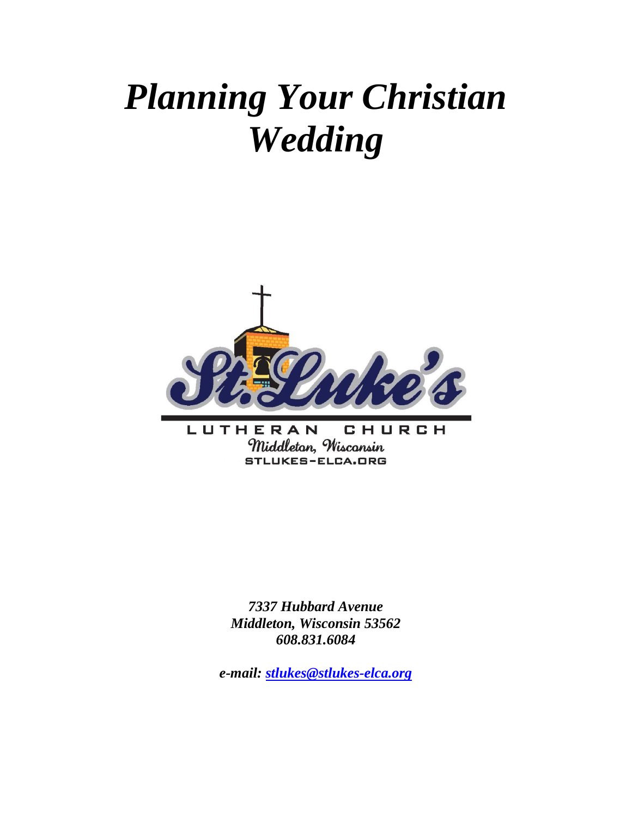# *Planning Your Christian Wedding*



*7337 Hubbard Avenue Middleton, Wisconsin 53562 608.831.6084*

*e-mail: [stlukes@stlukes-elca.org](mailto:stlukes@stlukes-elca.org)*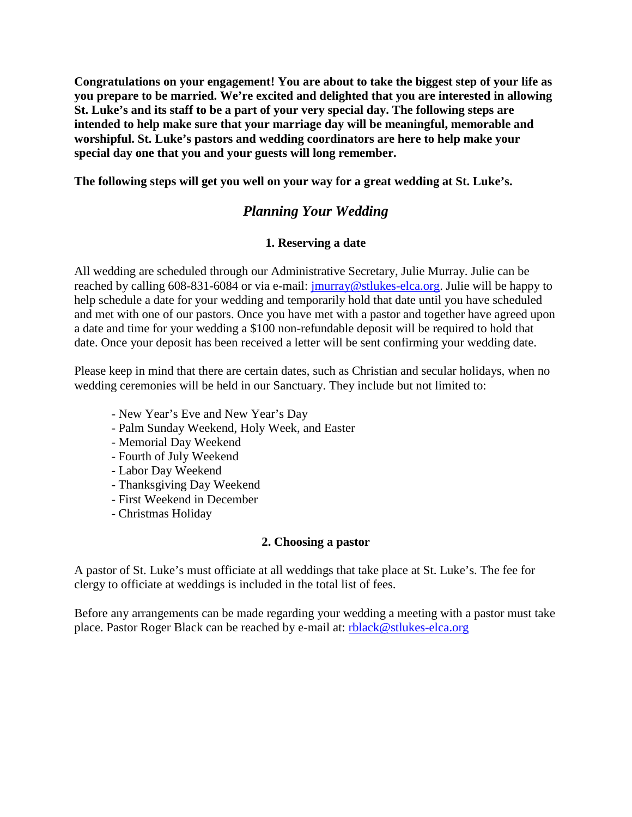**Congratulations on your engagement! You are about to take the biggest step of your life as you prepare to be married. We're excited and delighted that you are interested in allowing St. Luke's and its staff to be a part of your very special day. The following steps are intended to help make sure that your marriage day will be meaningful, memorable and worshipful. St. Luke's pastors and wedding coordinators are here to help make your special day one that you and your guests will long remember.** 

**The following steps will get you well on your way for a great wedding at St. Luke's.**

# *Planning Your Wedding*

#### **1. Reserving a date**

All wedding are scheduled through our Administrative Secretary, Julie Murray. Julie can be reached by calling 608-831-6084 or via e-mail: [jmurray@stlukes-elca.org.](mailto:jmurray@stlukes-elca.org) Julie will be happy to help schedule a date for your wedding and temporarily hold that date until you have scheduled and met with one of our pastors. Once you have met with a pastor and together have agreed upon a date and time for your wedding a \$100 non-refundable deposit will be required to hold that date. Once your deposit has been received a letter will be sent confirming your wedding date.

Please keep in mind that there are certain dates, such as Christian and secular holidays, when no wedding ceremonies will be held in our Sanctuary. They include but not limited to:

- New Year's Eve and New Year's Day
- Palm Sunday Weekend, Holy Week, and Easter
- Memorial Day Weekend
- Fourth of July Weekend
- Labor Day Weekend
- Thanksgiving Day Weekend
- First Weekend in December
- Christmas Holiday

#### **2. Choosing a pastor**

A pastor of St. Luke's must officiate at all weddings that take place at St. Luke's. The fee for clergy to officiate at weddings is included in the total list of fees.

Before any arrangements can be made regarding your wedding a meeting with a pastor must take place. Pastor Roger Black can be reached by e-mail at: [rblack@stlukes-elca.org](mailto:rblack@stlukes-elca.org)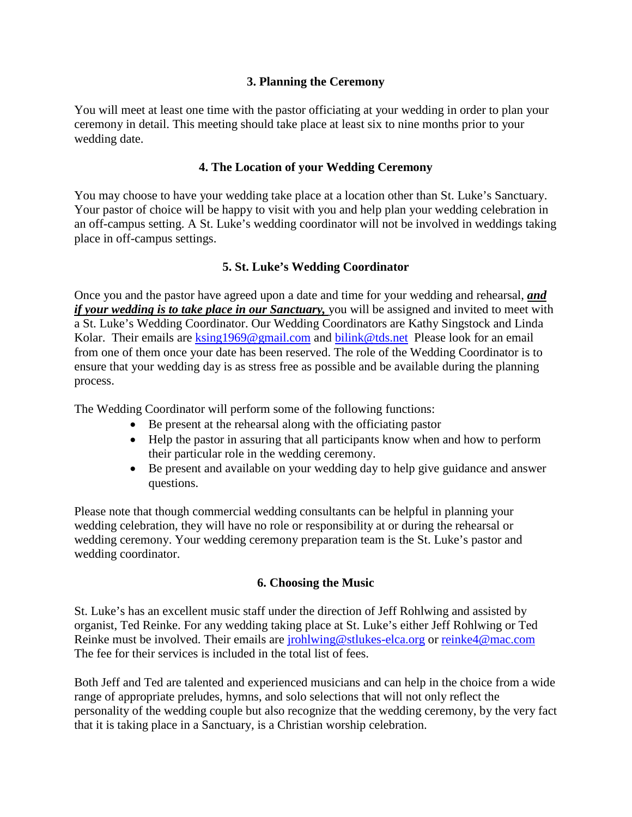#### **3. Planning the Ceremony**

You will meet at least one time with the pastor officiating at your wedding in order to plan your ceremony in detail. This meeting should take place at least six to nine months prior to your wedding date.

### **4. The Location of your Wedding Ceremony**

You may choose to have your wedding take place at a location other than St. Luke's Sanctuary. Your pastor of choice will be happy to visit with you and help plan your wedding celebration in an off-campus setting. A St. Luke's wedding coordinator will not be involved in weddings taking place in off-campus settings.

## **5. St. Luke's Wedding Coordinator**

Once you and the pastor have agreed upon a date and time for your wedding and rehearsal, *and if your wedding is to take place in our Sanctuary,* you will be assigned and invited to meet with a St. Luke's Wedding Coordinator. Our Wedding Coordinators are Kathy Singstock and Linda Kolar. Their emails are [ksing1969@gmail.com](mailto:ksing1969@gmail.com) and [bilink@tds.net](mailto:bilink@tds.net) Please look for an email from one of them once your date has been reserved. The role of the Wedding Coordinator is to ensure that your wedding day is as stress free as possible and be available during the planning process.

The Wedding Coordinator will perform some of the following functions:

- Be present at the rehearsal along with the officiating pastor
- Help the pastor in assuring that all participants know when and how to perform their particular role in the wedding ceremony.
- Be present and available on your wedding day to help give guidance and answer questions.

Please note that though commercial wedding consultants can be helpful in planning your wedding celebration, they will have no role or responsibility at or during the rehearsal or wedding ceremony. Your wedding ceremony preparation team is the St. Luke's pastor and wedding coordinator.

#### **6. Choosing the Music**

St. Luke's has an excellent music staff under the direction of Jeff Rohlwing and assisted by organist, Ted Reinke. For any wedding taking place at St. Luke's either Jeff Rohlwing or Ted Reinke must be involved. Their emails are [jrohlwing@stlukes-elca.org](mailto:jrohlwing@stlukes-elca.org) or [reinke4@mac.com](mailto:reinke4@mac.com) The fee for their services is included in the total list of fees.

Both Jeff and Ted are talented and experienced musicians and can help in the choice from a wide range of appropriate preludes, hymns, and solo selections that will not only reflect the personality of the wedding couple but also recognize that the wedding ceremony, by the very fact that it is taking place in a Sanctuary, is a Christian worship celebration.